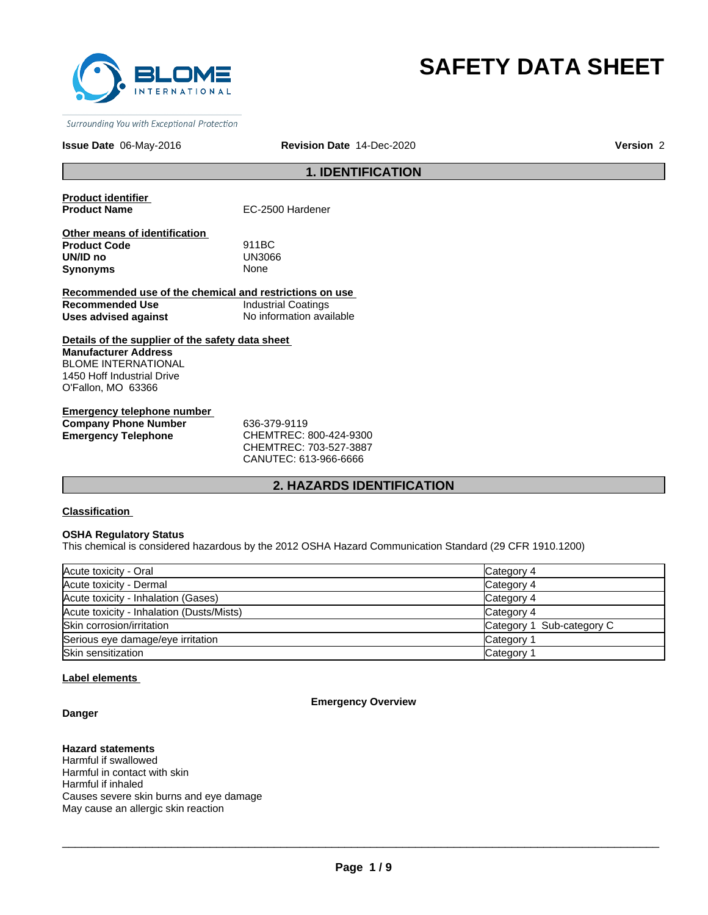

# **SAFETY DATA SHEET**

Surrounding You with Exceptional Protection

#### **Issue Date** 06-May-2016 **Revision Date** 14-Dec-2020 **Version** 2

### **1. IDENTIFICATION**

**Product identifier** 

**EC-2500 Hardener** 

| Other means of identification |             |  |
|-------------------------------|-------------|--|
| <b>Product Code</b>           | 911BC       |  |
| UN/ID no                      | UN3066      |  |
| Synonyms                      | <b>None</b> |  |

**Recommended use of the chemical and restrictions on use Recommended Use Industrial Coatings**<br> **Uses advised against Internation** No information available **Uses advised against** 

**Details of the supplier of the safety data sheet Manufacturer Address** BLOME INTERNATIONAL 1450 Hoff Industrial Drive O'Fallon, MO 63366

**Emergency telephone number Company Phone Number** 636-379-9119 **Emergency Telephone** CHEMTREC: 800-424-9300

CHEMTREC: 703-527-3887 CANUTEC: 613-966-6666

#### **2. HAZARDS IDENTIFICATION**

#### **Classification**

#### **OSHA Regulatory Status**

This chemical is considered hazardous by the 2012 OSHA Hazard Communication Standard (29 CFR 1910.1200)

| Acute toxicity - Oral                     | Category 4                |
|-------------------------------------------|---------------------------|
| Acute toxicity - Dermal                   | Category 4                |
| Acute toxicity - Inhalation (Gases)       | Category 4                |
| Acute toxicity - Inhalation (Dusts/Mists) | Category 4                |
| Skin corrosion/irritation                 | Category 1 Sub-category C |
| Serious eye damage/eye irritation         | Category <sup>2</sup>     |
| Skin sensitization                        | Category <sup>2</sup>     |

#### **Label elements**

#### **Danger**

#### **Emergency Overview**

### **Hazard statements**

Harmful if swallowed Harmful in contact with skin Harmful if inhaled Causes severe skin burns and eye damage May cause an allergic skin reaction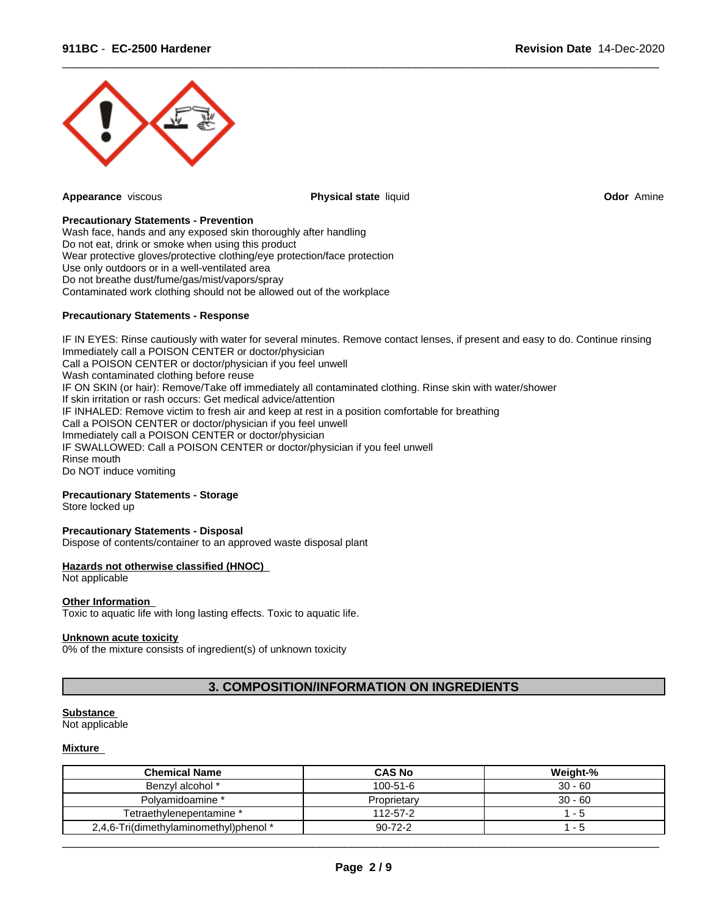

**Appearance** viscous **Physical state** liquid **Odor** Amine

 $\overline{\phantom{a}}$  ,  $\overline{\phantom{a}}$  ,  $\overline{\phantom{a}}$  ,  $\overline{\phantom{a}}$  ,  $\overline{\phantom{a}}$  ,  $\overline{\phantom{a}}$  ,  $\overline{\phantom{a}}$  ,  $\overline{\phantom{a}}$  ,  $\overline{\phantom{a}}$  ,  $\overline{\phantom{a}}$  ,  $\overline{\phantom{a}}$  ,  $\overline{\phantom{a}}$  ,  $\overline{\phantom{a}}$  ,  $\overline{\phantom{a}}$  ,  $\overline{\phantom{a}}$  ,  $\overline{\phantom{a}}$ 

#### **Precautionary Statements - Prevention**

Wash face, hands and any exposed skin thoroughly after handling Do not eat, drink or smoke when using this product Wear protective gloves/protective clothing/eye protection/face protection Use only outdoors or in a well-ventilated area Do not breathe dust/fume/gas/mist/vapors/spray Contaminated work clothing should not be allowed out of the workplace

#### **Precautionary Statements - Response**

IF IN EYES: Rinse cautiously with water for several minutes. Remove contact lenses, if present and easy to do. Continue rinsing Immediately call a POISON CENTER or doctor/physician Call a POISON CENTER or doctor/physician if you feel unwell Wash contaminated clothing before reuse IF ON SKIN (or hair): Remove/Take off immediately all contaminated clothing. Rinse skin with water/shower If skin irritation or rash occurs: Get medical advice/attention IF INHALED: Remove victim to fresh air and keep at rest in a position comfortable for breathing Call a POISON CENTER or doctor/physician if you feel unwell Immediately call a POISON CENTER or doctor/physician IF SWALLOWED: Call a POISON CENTER or doctor/physician if you feel unwell Rinse mouth Do NOT induce vomiting

#### **Precautionary Statements - Storage**

Store locked up

#### **Precautionary Statements - Disposal**

Dispose of contents/container to an approved waste disposal plant

#### **Hazards not otherwise classified (HNOC)**

Not applicable

#### **Other Information**

Toxic to aquatic life with long lasting effects. Toxic to aquatic life.

#### **Unknown acute toxicity**

0% of the mixture consists of ingredient(s) of unknown toxicity

#### **3. COMPOSITION/INFORMATION ON INGREDIENTS**

#### **Substance**

Not applicable

#### **Mixture**

| <b>Chemical Name</b>                   | <b>CAS No</b>  | Weight-%  |
|----------------------------------------|----------------|-----------|
| Benzyl alcohol *                       | $100 - 51 - 6$ | $30 - 60$ |
| Polvamidoamine *                       | Proprietarv    | $30 - 60$ |
| Tetraethvlenepentamine *               | 112-57-2       | - 5       |
| 2,4,6-Tri(dimethylaminomethyl)phenol * | $90 - 72 - 2$  | - 5       |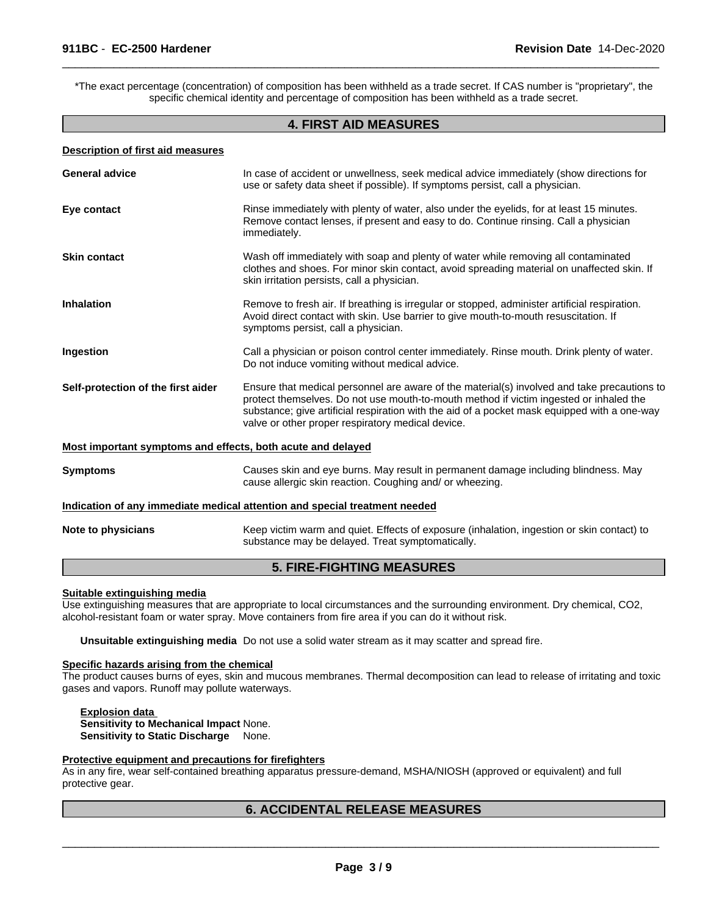\*The exact percentage (concentration) of composition has been withheld as a trade secret. If CAS number is "proprietary", the specific chemical identity and percentage of composition has been withheld as a trade secret.

 $\overline{\phantom{a}}$  ,  $\overline{\phantom{a}}$  ,  $\overline{\phantom{a}}$  ,  $\overline{\phantom{a}}$  ,  $\overline{\phantom{a}}$  ,  $\overline{\phantom{a}}$  ,  $\overline{\phantom{a}}$  ,  $\overline{\phantom{a}}$  ,  $\overline{\phantom{a}}$  ,  $\overline{\phantom{a}}$  ,  $\overline{\phantom{a}}$  ,  $\overline{\phantom{a}}$  ,  $\overline{\phantom{a}}$  ,  $\overline{\phantom{a}}$  ,  $\overline{\phantom{a}}$  ,  $\overline{\phantom{a}}$ 

#### **4. FIRST AID MEASURES**

| <b>Description of first aid measures</b>                    |                                                                                                                                                                                                                                                                                                                                            |
|-------------------------------------------------------------|--------------------------------------------------------------------------------------------------------------------------------------------------------------------------------------------------------------------------------------------------------------------------------------------------------------------------------------------|
| General advice                                              | In case of accident or unwellness, seek medical advice immediately (show directions for<br>use or safety data sheet if possible). If symptoms persist, call a physician.                                                                                                                                                                   |
| Eye contact                                                 | Rinse immediately with plenty of water, also under the eyelids, for at least 15 minutes.<br>Remove contact lenses, if present and easy to do. Continue rinsing. Call a physician<br>immediately.                                                                                                                                           |
| Skin contact                                                | Wash off immediately with soap and plenty of water while removing all contaminated<br>clothes and shoes. For minor skin contact, avoid spreading material on unaffected skin. If<br>skin irritation persists, call a physician.                                                                                                            |
| Inhalation                                                  | Remove to fresh air. If breathing is irregular or stopped, administer artificial respiration.<br>Avoid direct contact with skin. Use barrier to give mouth-to-mouth resuscitation. If<br>symptoms persist, call a physician.                                                                                                               |
| Ingestion                                                   | Call a physician or poison control center immediately. Rinse mouth. Drink plenty of water.<br>Do not induce vomiting without medical advice.                                                                                                                                                                                               |
| Self-protection of the first aider                          | Ensure that medical personnel are aware of the material(s) involved and take precautions to<br>protect themselves. Do not use mouth-to-mouth method if victim ingested or inhaled the<br>substance; give artificial respiration with the aid of a pocket mask equipped with a one-way<br>valve or other proper respiratory medical device. |
| Most important symptoms and effects, both acute and delayed |                                                                                                                                                                                                                                                                                                                                            |
| <b>Symptoms</b>                                             | Causes skin and eye burns. May result in permanent damage including blindness. May<br>cause allergic skin reaction. Coughing and/ or wheezing.                                                                                                                                                                                             |
|                                                             | Indication of any immediate medical attention and special treatment needed                                                                                                                                                                                                                                                                 |
| Note to physicians                                          | Keep victim warm and quiet. Effects of exposure (inhalation, ingestion or skin contact) to<br>substance may be delayed. Treat symptomatically.                                                                                                                                                                                             |
|                                                             | <b>5. FIRE-FIGHTING MEASURES</b>                                                                                                                                                                                                                                                                                                           |

#### **Suitable extinguishing media**

Use extinguishing measures that are appropriate to local circumstances and the surrounding environment. Dry chemical, CO2, alcohol-resistant foam or water spray. Move containers from fire area if you can do it without risk.

**Unsuitable extinguishing media** Do not use a solid water stream as it may scatter and spread fire.

### **Specific hazards arising from the chemical**

The product causes burns of eyes, skin and mucous membranes. Thermal decomposition can lead to release of irritating and toxic gases and vapors. Runoff may pollute waterways.

**Explosion data Sensitivity to Mechanical Impact** None. **Sensitivity to Static Discharge** None.

#### **Protective equipment and precautions for firefighters**

As in any fire, wear self-contained breathing apparatus pressure-demand, MSHA/NIOSH (approved or equivalent) and full protective gear.

### **6. ACCIDENTAL RELEASE MEASURES**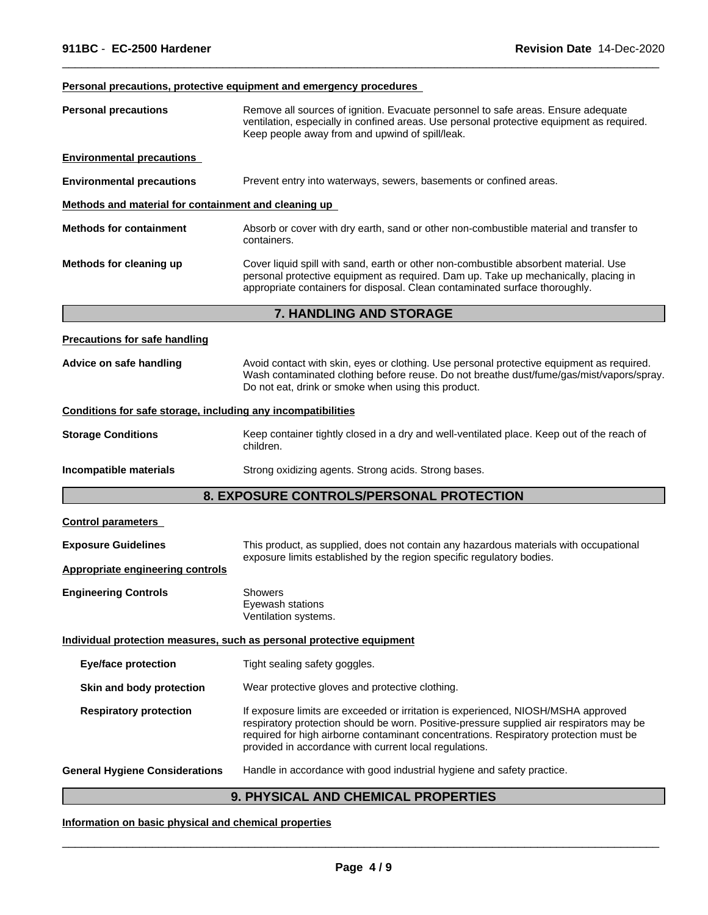#### **Personal precautions, protective equipment and emergency procedures**

| <b>Personal precautions</b>                                  | Remove all sources of ignition. Evacuate personnel to safe areas. Ensure adequate<br>ventilation, especially in confined areas. Use personal protective equipment as required.<br>Keep people away from and upwind of spill/leak.                                                                                                |  |  |
|--------------------------------------------------------------|----------------------------------------------------------------------------------------------------------------------------------------------------------------------------------------------------------------------------------------------------------------------------------------------------------------------------------|--|--|
| <b>Environmental precautions</b>                             |                                                                                                                                                                                                                                                                                                                                  |  |  |
| <b>Environmental precautions</b>                             | Prevent entry into waterways, sewers, basements or confined areas.                                                                                                                                                                                                                                                               |  |  |
| Methods and material for containment and cleaning up         |                                                                                                                                                                                                                                                                                                                                  |  |  |
| <b>Methods for containment</b>                               | Absorb or cover with dry earth, sand or other non-combustible material and transfer to<br>containers.                                                                                                                                                                                                                            |  |  |
| Methods for cleaning up                                      | Cover liquid spill with sand, earth or other non-combustible absorbent material. Use<br>personal protective equipment as required. Dam up. Take up mechanically, placing in<br>appropriate containers for disposal. Clean contaminated surface thoroughly.                                                                       |  |  |
|                                                              | 7. HANDLING AND STORAGE                                                                                                                                                                                                                                                                                                          |  |  |
| <b>Precautions for safe handling</b>                         |                                                                                                                                                                                                                                                                                                                                  |  |  |
| Advice on safe handling                                      | Avoid contact with skin, eyes or clothing. Use personal protective equipment as required.<br>Wash contaminated clothing before reuse. Do not breathe dust/fume/gas/mist/vapors/spray.<br>Do not eat, drink or smoke when using this product.                                                                                     |  |  |
| Conditions for safe storage, including any incompatibilities |                                                                                                                                                                                                                                                                                                                                  |  |  |
| <b>Storage Conditions</b>                                    | Keep container tightly closed in a dry and well-ventilated place. Keep out of the reach of<br>children.                                                                                                                                                                                                                          |  |  |
| Incompatible materials                                       | Strong oxidizing agents. Strong acids. Strong bases.                                                                                                                                                                                                                                                                             |  |  |
|                                                              | 8. EXPOSURE CONTROLS/PERSONAL PROTECTION                                                                                                                                                                                                                                                                                         |  |  |
| <b>Control parameters</b>                                    |                                                                                                                                                                                                                                                                                                                                  |  |  |
| <b>Exposure Guidelines</b>                                   | This product, as supplied, does not contain any hazardous materials with occupational                                                                                                                                                                                                                                            |  |  |
| Appropriate engineering controls                             | exposure limits established by the region specific regulatory bodies.                                                                                                                                                                                                                                                            |  |  |
| <b>Engineering Controls</b>                                  | Showers<br>Eyewash stations<br>Ventilation systems.                                                                                                                                                                                                                                                                              |  |  |
|                                                              | Individual protection measures, such as personal protective equipment                                                                                                                                                                                                                                                            |  |  |
| <b>Eye/face protection</b>                                   | Tight sealing safety goggles.                                                                                                                                                                                                                                                                                                    |  |  |
| Skin and body protection                                     | Wear protective gloves and protective clothing.                                                                                                                                                                                                                                                                                  |  |  |
| <b>Respiratory protection</b>                                | If exposure limits are exceeded or irritation is experienced, NIOSH/MSHA approved<br>respiratory protection should be worn. Positive-pressure supplied air respirators may be<br>required for high airborne contaminant concentrations. Respiratory protection must be<br>provided in accordance with current local regulations. |  |  |
| <b>General Hygiene Considerations</b>                        | Handle in accordance with good industrial hygiene and safety practice.                                                                                                                                                                                                                                                           |  |  |

 $\overline{\phantom{a}}$  ,  $\overline{\phantom{a}}$  ,  $\overline{\phantom{a}}$  ,  $\overline{\phantom{a}}$  ,  $\overline{\phantom{a}}$  ,  $\overline{\phantom{a}}$  ,  $\overline{\phantom{a}}$  ,  $\overline{\phantom{a}}$  ,  $\overline{\phantom{a}}$  ,  $\overline{\phantom{a}}$  ,  $\overline{\phantom{a}}$  ,  $\overline{\phantom{a}}$  ,  $\overline{\phantom{a}}$  ,  $\overline{\phantom{a}}$  ,  $\overline{\phantom{a}}$  ,  $\overline{\phantom{a}}$ 

### **9. PHYSICAL AND CHEMICAL PROPERTIES**

### **Information on basic physical and chemical properties**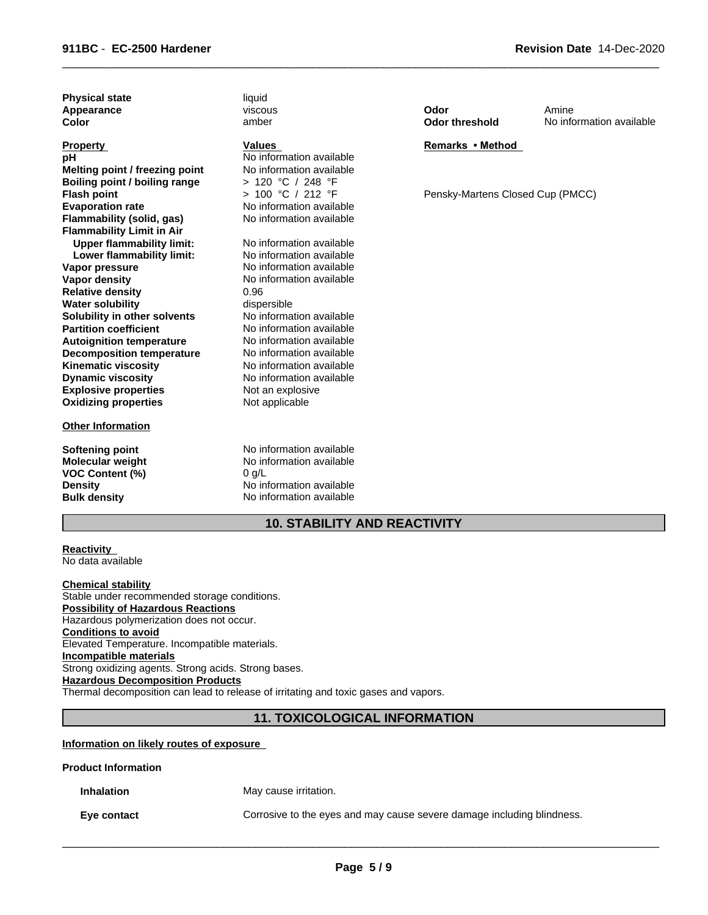| Values                   |
|--------------------------|
| No information available |
| No information available |
| > 120 °C / 248 °F        |
| > 100 °C / 212 °F        |
| No information available |
| No information available |
|                          |
| No information available |
| No information available |
| No information available |
| No information available |
| 0.96                     |
| dispersible              |
| No information available |
| No information available |
| No information available |
| No information available |
| No information available |
| No information available |
| Not an explosive         |
| Not applicable           |
|                          |

#### **Other Information**

**VOC Content (%)** 

viscous amber

#### **Values**

**Softening point** No information available **Molecular weight** No information available<br> **VOC Content (%)** 0 a/L **Density** No information available **Bulk density** No information available

 $\overline{\phantom{a}}$  ,  $\overline{\phantom{a}}$  ,  $\overline{\phantom{a}}$  ,  $\overline{\phantom{a}}$  ,  $\overline{\phantom{a}}$  ,  $\overline{\phantom{a}}$  ,  $\overline{\phantom{a}}$  ,  $\overline{\phantom{a}}$  ,  $\overline{\phantom{a}}$  ,  $\overline{\phantom{a}}$  ,  $\overline{\phantom{a}}$  ,  $\overline{\phantom{a}}$  ,  $\overline{\phantom{a}}$  ,  $\overline{\phantom{a}}$  ,  $\overline{\phantom{a}}$  ,  $\overline{\phantom{a}}$ 

**Revision Date** 14-Dec-2020

| Odor           | Amir  |
|----------------|-------|
| Odor threshold | No ir |

nformation available Amine

#### **Remarks•Method**

Pensky-Martens Closed Cup (PMCC)

#### **10. STABILITY AND REACTIVITY**

#### **Reactivity**  No data available

**Chemical stability** Stable under recommended storage conditions. **Possibility of Hazardous Reactions** Hazardous polymerization does not occur. **Conditions to avoid** Elevated Temperature. Incompatible materials. **Incompatible materials** Strong oxidizing agents. Strong acids. Strong bases. **Hazardous Decomposition Products** Thermal decomposition can lead to release of irritating and toxic gases and vapors.

### **11. TOXICOLOGICAL INFORMATION**

#### **Information on likely routes of exposure**

#### **Product Information**

**Inhalation** May cause irritation.

**Eye contact** Corrosive to the eyes and may cause severe damage including blindness.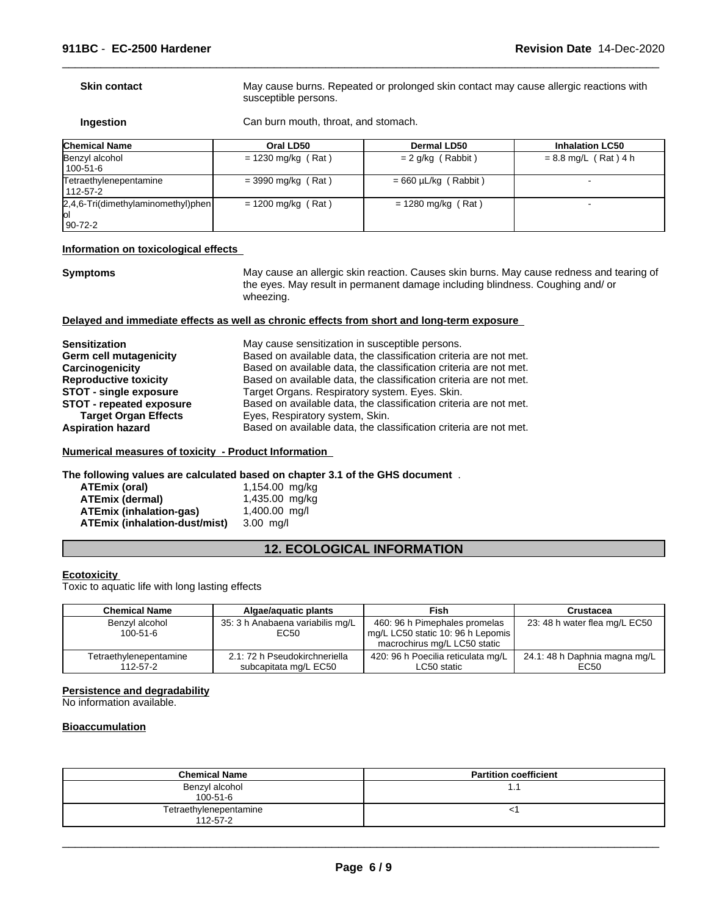### **Skin contact** May cause burns. Repeated or prolonged skin contact may cause allergic reactions with

susceptible persons.

 $\overline{\phantom{a}}$  ,  $\overline{\phantom{a}}$  ,  $\overline{\phantom{a}}$  ,  $\overline{\phantom{a}}$  ,  $\overline{\phantom{a}}$  ,  $\overline{\phantom{a}}$  ,  $\overline{\phantom{a}}$  ,  $\overline{\phantom{a}}$  ,  $\overline{\phantom{a}}$  ,  $\overline{\phantom{a}}$  ,  $\overline{\phantom{a}}$  ,  $\overline{\phantom{a}}$  ,  $\overline{\phantom{a}}$  ,  $\overline{\phantom{a}}$  ,  $\overline{\phantom{a}}$  ,  $\overline{\phantom{a}}$ 

**Ingestion** Can burn mouth, throat, and stomach.

| <b>Chemical Name</b>                                       | Oral LD50            | <b>Dermal LD50</b>        | <b>Inhalation LC50</b> |
|------------------------------------------------------------|----------------------|---------------------------|------------------------|
| Benzyl alcohol<br>100-51-6                                 | $= 1230$ mg/kg (Rat) | $= 2$ g/kg (Rabbit)       | $= 8.8$ mg/L (Rat) 4 h |
| Tetraethylenepentamine<br>112-57-2                         | $=$ 3990 mg/kg (Rat) | $= 660 \mu L/kg$ (Rabbit) |                        |
| $[2,4,6$ -Tri(dimethylaminomethyl)phen<br>lol<br>$90-72-2$ | $= 1200$ mg/kg (Rat) | $= 1280$ mg/kg (Rat)      |                        |

#### **Information on toxicological effects**

**Symptoms** May cause an allergic skin reaction. Causes skin burns. May cause redness and tearing of the eyes. May result in permanent damage including blindness. Coughing and/ or wheezing.

#### **Delayed and immediate effects as well as chronic effects from short and long-term exposure**

| <b>Sensitization</b>            | May cause sensitization in susceptible persons.                   |
|---------------------------------|-------------------------------------------------------------------|
| Germ cell mutagenicity          | Based on available data, the classification criteria are not met. |
| Carcinogenicity                 | Based on available data, the classification criteria are not met. |
| <b>Reproductive toxicity</b>    | Based on available data, the classification criteria are not met. |
| STOT - single exposure          | Target Organs. Respiratory system. Eyes. Skin.                    |
| <b>STOT - repeated exposure</b> | Based on available data, the classification criteria are not met. |
| <b>Target Organ Effects</b>     | Eyes, Respiratory system, Skin.                                   |
| <b>Aspiration hazard</b>        | Based on available data, the classification criteria are not met. |

### **Numerical measures of toxicity - Product Information**

**The following values are calculated based on chapter 3.1 of the GHS document** .

| ATEmix (oral)                 | 1,154.00 mg/kg  |
|-------------------------------|-----------------|
| ATEmix (dermal)               | 1,435.00 mg/kg  |
| ATEmix (inhalation-gas)       | $1,400.00$ mg/l |
| ATEmix (inhalation-dust/mist) | 3.00 ma/l       |

### **12. ECOLOGICAL INFORMATION**

#### **Ecotoxicity**

Toxic to aquatic life with long lasting effects

| <b>Chemical Name</b>   | Algae/aguatic plants             | Fish                               | Crustacea                     |
|------------------------|----------------------------------|------------------------------------|-------------------------------|
| Benzyl alcohol         | 35: 3 h Anabaena variabilis mg/L | 460: 96 h Pimephales promelas      | 23: 48 h water flea mg/L EC50 |
| 100-51-6               | EC50                             | mg/L LC50 static 10: 96 h Lepomis  |                               |
|                        |                                  | macrochirus mg/L LC50 static       |                               |
| Tetraethylenepentamine | 2.1: 72 h Pseudokirchneriella    | 420: 96 h Poecilia reticulata mg/L | 24.1: 48 h Daphnia magna mg/L |
| 112-57-2               | subcapitata mg/L EC50            | LC50 static                        | EC50                          |

#### **Persistence and degradability**

No information available.

#### **Bioaccumulation**

| <b>Chemical Name</b>                     | <b>Partition coefficient</b> |
|------------------------------------------|------------------------------|
| Benzyl alcohol<br>$100 - 51 - 6$         | ۰.                           |
| Tetraethylenepentamine<br>$112 - 57 - 2$ |                              |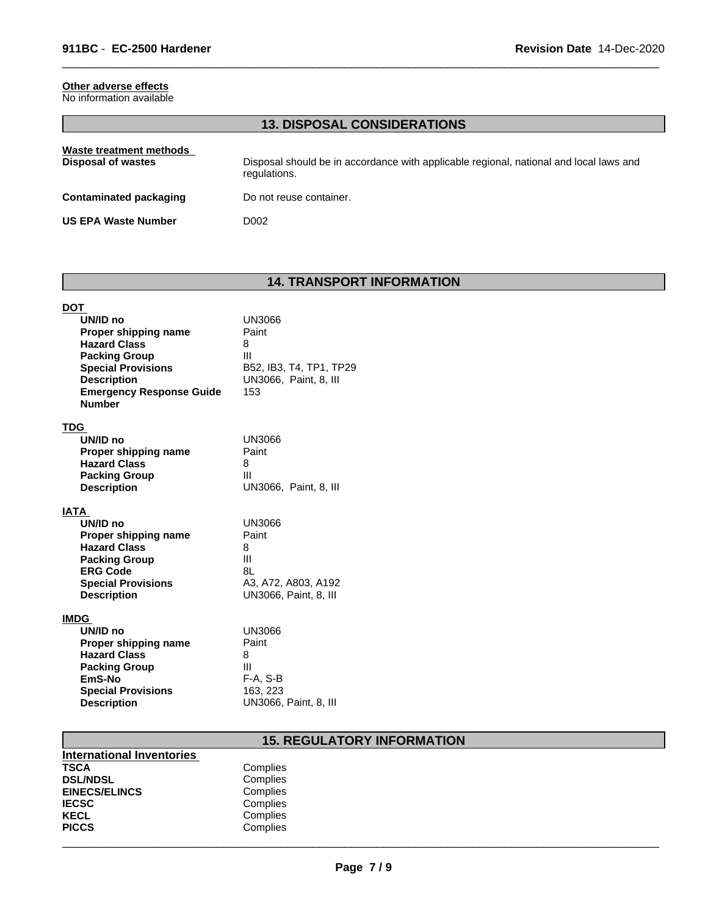### **Other adverse effects**

| No information available |  |
|--------------------------|--|
|--------------------------|--|

### **13. DISPOSAL CONSIDERATIONS**

 $\overline{\phantom{a}}$  ,  $\overline{\phantom{a}}$  ,  $\overline{\phantom{a}}$  ,  $\overline{\phantom{a}}$  ,  $\overline{\phantom{a}}$  ,  $\overline{\phantom{a}}$  ,  $\overline{\phantom{a}}$  ,  $\overline{\phantom{a}}$  ,  $\overline{\phantom{a}}$  ,  $\overline{\phantom{a}}$  ,  $\overline{\phantom{a}}$  ,  $\overline{\phantom{a}}$  ,  $\overline{\phantom{a}}$  ,  $\overline{\phantom{a}}$  ,  $\overline{\phantom{a}}$  ,  $\overline{\phantom{a}}$ 

| Waste treatment methods<br>Disposal of wastes | Disposal should be in accordance with applicable regional, national and local laws and<br>regulations. |
|-----------------------------------------------|--------------------------------------------------------------------------------------------------------|
| <b>Contaminated packaging</b>                 | Do not reuse container.                                                                                |
| <b>US EPA Waste Number</b>                    | D002                                                                                                   |

## **14. TRANSPORT INFORMATION**

| <b>DOT</b><br>UN/ID no<br>Proper shipping name<br><b>Hazard Class</b><br><b>Packing Group</b><br><b>Special Provisions</b><br><b>Description</b><br><b>Emergency Response Guide</b><br><b>Number</b> | <b>UN3066</b><br>Paint<br>8<br>Ш<br>B52, IB3, T4, TP1, TP29<br>UN3066, Paint, 8, III<br>153   |
|------------------------------------------------------------------------------------------------------------------------------------------------------------------------------------------------------|-----------------------------------------------------------------------------------------------|
| <b>TDG</b><br>UN/ID no<br>Proper shipping name<br><b>Hazard Class</b><br><b>Packing Group</b><br><b>Description</b>                                                                                  | UN3066<br>Paint<br>8<br>Ш<br>UN3066, Paint, 8, III                                            |
| <b>IATA</b><br>UN/ID no<br>Proper shipping name<br><b>Hazard Class</b><br><b>Packing Group</b><br><b>ERG Code</b><br><b>Special Provisions</b><br><b>Description</b>                                 | <b>UN3066</b><br>Paint<br>8<br>Ш<br>81<br>A3, A72, A803, A192<br><b>UN3066, Paint, 8, III</b> |
| <b>IMDG</b><br>UN/ID no<br>Proper shipping name<br><b>Hazard Class</b><br><b>Packing Group</b><br>EmS-No<br><b>Special Provisions</b><br><b>Description</b>                                          | UN3066<br>Paint<br>8<br>Ш<br>F-A, S-B<br>163, 223<br>UN3066, Paint, 8, III                    |

### **15. REGULATORY INFORMATION**

| International Inventories |          |  |
|---------------------------|----------|--|
| <b>TSCA</b>               | Complies |  |
| <b>DSL/NDSL</b>           | Complies |  |
| <b>EINECS/ELINCS</b>      | Complies |  |
| <b>IECSC</b>              | Complies |  |
| <b>KECL</b>               | Complies |  |
| <b>PICCS</b>              | Complies |  |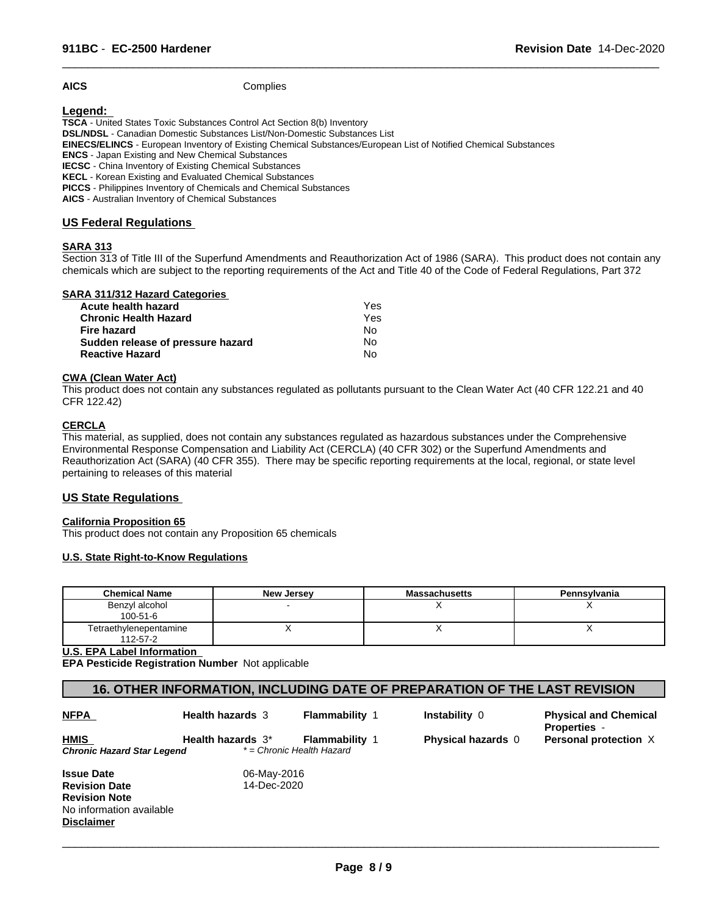**AICS** Complies

#### **Legend:**

**TSCA** - United States Toxic Substances Control Act Section 8(b) Inventory **DSL/NDSL** - Canadian Domestic Substances List/Non-Domestic Substances List **EINECS/ELINCS** - European Inventory of Existing Chemical Substances/European List of Notified Chemical Substances **ENCS** - Japan Existing and New Chemical Substances **IECSC** - China Inventory of Existing Chemical Substances **KECL** - Korean Existing and Evaluated Chemical Substances **PICCS** - Philippines Inventory of Chemicals and Chemical Substances

**AICS** - Australian Inventory of Chemical Substances

#### **US Federal Regulations**

#### **SARA 313**

Section 313 of Title III of the Superfund Amendments and Reauthorization Act of 1986 (SARA). This product does not contain any chemicals which are subject to the reporting requirements of the Act and Title 40 of the Code of Federal Regulations, Part 372

 $\overline{\phantom{a}}$  ,  $\overline{\phantom{a}}$  ,  $\overline{\phantom{a}}$  ,  $\overline{\phantom{a}}$  ,  $\overline{\phantom{a}}$  ,  $\overline{\phantom{a}}$  ,  $\overline{\phantom{a}}$  ,  $\overline{\phantom{a}}$  ,  $\overline{\phantom{a}}$  ,  $\overline{\phantom{a}}$  ,  $\overline{\phantom{a}}$  ,  $\overline{\phantom{a}}$  ,  $\overline{\phantom{a}}$  ,  $\overline{\phantom{a}}$  ,  $\overline{\phantom{a}}$  ,  $\overline{\phantom{a}}$ 

#### **SARA 311/312 Hazard Categories**

| Acute health hazard               | Yes |  |
|-----------------------------------|-----|--|
| <b>Chronic Health Hazard</b>      | Yes |  |
| Fire hazard                       | N٥  |  |
| Sudden release of pressure hazard | N٥  |  |
| <b>Reactive Hazard</b>            | N٥  |  |

#### **CWA (Clean Water Act)**

This product does not contain any substances regulated as pollutants pursuant to the Clean Water Act (40 CFR 122.21 and 40 CFR 122.42)

### **CERCLA**

This material, as supplied, does not contain any substances regulated as hazardous substances under the Comprehensive Environmental Response Compensation and Liability Act (CERCLA) (40 CFR 302) or the Superfund Amendments and Reauthorization Act (SARA) (40 CFR 355). There may be specific reporting requirements at the local, regional, or state level pertaining to releases of this material

#### **US State Regulations**

#### **California Proposition 65**

This product does not contain any Proposition 65 chemicals

#### **U.S. State Right-to-Know Regulations**

| <b>Chemical Name</b>               | New Jersey | <b>Massachusetts</b> | Pennsylvania |
|------------------------------------|------------|----------------------|--------------|
| Benzyl alcohol<br>$100 - 51 - 6$   |            |                      |              |
| Tetraethylenepentamine<br>112-57-2 |            |                      |              |

#### **U.S. EPA Label Information**

**EPA Pesticide Registration Number** Not applicable

### **16. OTHER INFORMATION, INCLUDING DATE OF PREPARATION OF THE LAST REVISION**

| <b>NFPA</b>                | <b>Health hazards 3</b> | <b>Flammability 1</b>     | Instability 0             | <b>Physical and Chemical</b><br><b>Properties -</b> |
|----------------------------|-------------------------|---------------------------|---------------------------|-----------------------------------------------------|
| <b>HMIS</b>                | Health hazards 3*       | <b>Flammability 1</b>     | <b>Physical hazards 0</b> | Personal protection X                               |
| Chronic Hazard Star Legend |                         | * = Chronic Health Hazard |                           |                                                     |
| <b>Issue Date</b>          | 06-May-2016             |                           |                           |                                                     |
| <b>Revision Date</b>       | 14-Dec-2020             |                           |                           |                                                     |
| <b>Revision Note</b>       |                         |                           |                           |                                                     |
| No information available   |                         |                           |                           |                                                     |
| <b>Disclaimer</b>          |                         |                           |                           |                                                     |